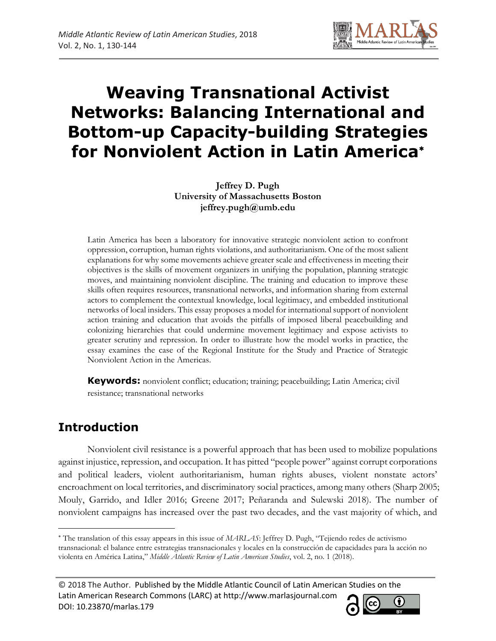

# **Weaving Transnational Activist Networks: Balancing International and Bottom-up Capacity-building Strategies for Nonviolent Action in Latin America**

**Jeffrey D. Pugh University of Massachusetts Boston jeffrey.pugh@umb.edu**

Latin America has been a laboratory for innovative strategic nonviolent action to confront oppression, corruption, human rights violations, and authoritarianism. One of the most salient explanations for why some movements achieve greater scale and effectiveness in meeting their objectives is the skills of movement organizers in unifying the population, planning strategic moves, and maintaining nonviolent discipline. The training and education to improve these skills often requires resources, transnational networks, and information sharing from external actors to complement the contextual knowledge, local legitimacy, and embedded institutional networks of local insiders. This essay proposes a model for international support of nonviolent action training and education that avoids the pitfalls of imposed liberal peacebuilding and colonizing hierarchies that could undermine movement legitimacy and expose activists to greater scrutiny and repression. In order to illustrate how the model works in practice, the essay examines the case of the Regional Institute for the Study and Practice of Strategic Nonviolent Action in the Americas.

**Keywords:** nonviolent conflict; education; training; peacebuilding; Latin America; civil resistance; transnational networks

# **Introduction**

 $\overline{\phantom{a}}$ 

Nonviolent civil resistance is a powerful approach that has been used to mobilize populations against injustice, repression, and occupation. It has pitted "people power" against corrupt corporations and political leaders, violent authoritarianism, human rights abuses, violent nonstate actors' encroachment on local territories, and discriminatory social practices, among many others (Sharp 2005; Mouly, Garrido, and Idler 2016; Greene 2017; Peñaranda and Sulewski 2018). The number of nonviolent campaigns has increased over the past two decades, and the vast majority of which, and



The translation of this essay appears in this issue of *MARLAS*: Jeffrey D. Pugh, "Tejiendo redes de activismo transnacional: el balance entre estrategias transnacionales y locales en la construcción de capacidades para la acción no violenta en América Latina," *Middle Atlantic Review of Latin American Studies*, vol. 2, no. 1 (2018).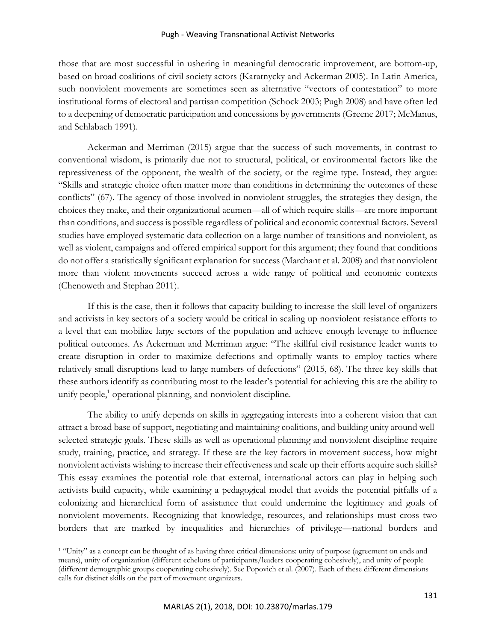#### Pugh - Weaving Transnational Activist Networks

those that are most successful in ushering in meaningful democratic improvement, are bottom-up, based on broad coalitions of civil society actors (Karatnycky and Ackerman 2005). In Latin America, such nonviolent movements are sometimes seen as alternative "vectors of contestation" to more institutional forms of electoral and partisan competition (Schock 2003; Pugh 2008) and have often led to a deepening of democratic participation and concessions by governments (Greene 2017; McManus, and Schlabach 1991).

Ackerman and Merriman (2015) argue that the success of such movements, in contrast to conventional wisdom, is primarily due not to structural, political, or environmental factors like the repressiveness of the opponent, the wealth of the society, or the regime type. Instead, they argue: "Skills and strategic choice often matter more than conditions in determining the outcomes of these conflicts" (67). The agency of those involved in nonviolent struggles, the strategies they design, the choices they make, and their organizational acumen—all of which require skills—are more important than conditions, and success is possible regardless of political and economic contextual factors. Several studies have employed systematic data collection on a large number of transitions and nonviolent, as well as violent, campaigns and offered empirical support for this argument; they found that conditions do not offer a statistically significant explanation for success (Marchant et al. 2008) and that nonviolent more than violent movements succeed across a wide range of political and economic contexts (Chenoweth and Stephan 2011).

If this is the case, then it follows that capacity building to increase the skill level of organizers and activists in key sectors of a society would be critical in scaling up nonviolent resistance efforts to a level that can mobilize large sectors of the population and achieve enough leverage to influence political outcomes. As Ackerman and Merriman argue: "The skillful civil resistance leader wants to create disruption in order to maximize defections and optimally wants to employ tactics where relatively small disruptions lead to large numbers of defections" (2015, 68). The three key skills that these authors identify as contributing most to the leader's potential for achieving this are the ability to unify people,<sup>1</sup> operational planning, and nonviolent discipline.

The ability to unify depends on skills in aggregating interests into a coherent vision that can attract a broad base of support, negotiating and maintaining coalitions, and building unity around wellselected strategic goals. These skills as well as operational planning and nonviolent discipline require study, training, practice, and strategy. If these are the key factors in movement success, how might nonviolent activists wishing to increase their effectiveness and scale up their efforts acquire such skills? This essay examines the potential role that external, international actors can play in helping such activists build capacity, while examining a pedagogical model that avoids the potential pitfalls of a colonizing and hierarchical form of assistance that could undermine the legitimacy and goals of nonviolent movements. Recognizing that knowledge, resources, and relationships must cross two borders that are marked by inequalities and hierarchies of privilege—national borders and

<sup>1</sup> "Unity" as a concept can be thought of as having three critical dimensions: unity of purpose (agreement on ends and means), unity of organization (different echelons of participants/leaders cooperating cohesively), and unity of people (different demographic groups cooperating cohesively). See Popovich et al. (2007). Each of these different dimensions calls for distinct skills on the part of movement organizers.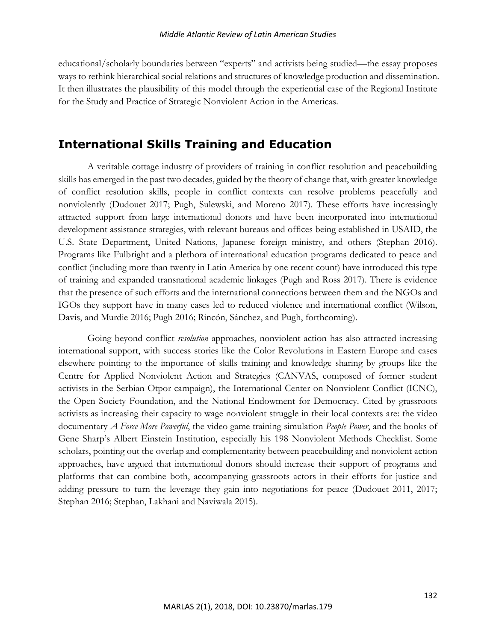educational/scholarly boundaries between "experts" and activists being studied—the essay proposes ways to rethink hierarchical social relations and structures of knowledge production and dissemination. It then illustrates the plausibility of this model through the experiential case of the Regional Institute for the Study and Practice of Strategic Nonviolent Action in the Americas.

### **International Skills Training and Education**

A veritable cottage industry of providers of training in conflict resolution and peacebuilding skills has emerged in the past two decades, guided by the theory of change that, with greater knowledge of conflict resolution skills, people in conflict contexts can resolve problems peacefully and nonviolently (Dudouet 2017; Pugh, Sulewski, and Moreno 2017). These efforts have increasingly attracted support from large international donors and have been incorporated into international development assistance strategies, with relevant bureaus and offices being established in USAID, the U.S. State Department, United Nations, Japanese foreign ministry, and others (Stephan 2016). Programs like Fulbright and a plethora of international education programs dedicated to peace and conflict (including more than twenty in Latin America by one recent count) have introduced this type of training and expanded transnational academic linkages (Pugh and Ross 2017). There is evidence that the presence of such efforts and the international connections between them and the NGOs and IGOs they support have in many cases led to reduced violence and international conflict (Wilson, Davis, and Murdie 2016; Pugh 2016; Rincón, Sánchez, and Pugh, forthcoming).

Going beyond conflict *resolution* approaches, nonviolent action has also attracted increasing international support, with success stories like the Color Revolutions in Eastern Europe and cases elsewhere pointing to the importance of skills training and knowledge sharing by groups like the Centre for Applied Nonviolent Action and Strategies (CANVAS, composed of former student activists in the Serbian Otpor campaign), the International Center on Nonviolent Conflict (ICNC), the Open Society Foundation, and the National Endowment for Democracy. Cited by grassroots activists as increasing their capacity to wage nonviolent struggle in their local contexts are: the video documentary *A Force More Powerful*, the video game training simulation *People Power*, and the books of Gene Sharp's Albert Einstein Institution, especially his 198 Nonviolent Methods Checklist. Some scholars, pointing out the overlap and complementarity between peacebuilding and nonviolent action approaches, have argued that international donors should increase their support of programs and platforms that can combine both, accompanying grassroots actors in their efforts for justice and adding pressure to turn the leverage they gain into negotiations for peace (Dudouet 2011, 2017; Stephan 2016; Stephan, Lakhani and Naviwala 2015).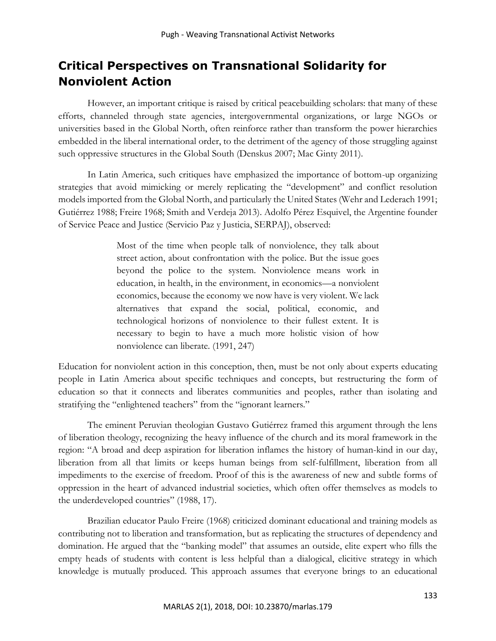# **Critical Perspectives on Transnational Solidarity for Nonviolent Action**

However, an important critique is raised by critical peacebuilding scholars: that many of these efforts, channeled through state agencies, intergovernmental organizations, or large NGOs or universities based in the Global North, often reinforce rather than transform the power hierarchies embedded in the liberal international order, to the detriment of the agency of those struggling against such oppressive structures in the Global South (Denskus 2007; Mac Ginty 2011).

In Latin America, such critiques have emphasized the importance of bottom-up organizing strategies that avoid mimicking or merely replicating the "development" and conflict resolution models imported from the Global North, and particularly the United States (Wehr and Lederach 1991; Gutiérrez 1988; Freire 1968; Smith and Verdeja 2013). Adolfo Pérez Esquivel, the Argentine founder of Service Peace and Justice (Servicio Paz y Justicia, SERPAJ), observed:

> Most of the time when people talk of nonviolence, they talk about street action, about confrontation with the police. But the issue goes beyond the police to the system. Nonviolence means work in education, in health, in the environment, in economics—a nonviolent economics, because the economy we now have is very violent. We lack alternatives that expand the social, political, economic, and technological horizons of nonviolence to their fullest extent. It is necessary to begin to have a much more holistic vision of how nonviolence can liberate. (1991, 247)

Education for nonviolent action in this conception, then, must be not only about experts educating people in Latin America about specific techniques and concepts, but restructuring the form of education so that it connects and liberates communities and peoples, rather than isolating and stratifying the "enlightened teachers" from the "ignorant learners."

The eminent Peruvian theologian Gustavo Gutiérrez framed this argument through the lens of liberation theology, recognizing the heavy influence of the church and its moral framework in the region: "A broad and deep aspiration for liberation inflames the history of human-kind in our day, liberation from all that limits or keeps human beings from self-fulfillment, liberation from all impediments to the exercise of freedom. Proof of this is the awareness of new and subtle forms of oppression in the heart of advanced industrial societies, which often offer themselves as models to the underdeveloped countries" (1988, 17).

Brazilian educator Paulo Freire (1968) criticized dominant educational and training models as contributing not to liberation and transformation, but as replicating the structures of dependency and domination. He argued that the "banking model" that assumes an outside, elite expert who fills the empty heads of students with content is less helpful than a dialogical, elicitive strategy in which knowledge is mutually produced. This approach assumes that everyone brings to an educational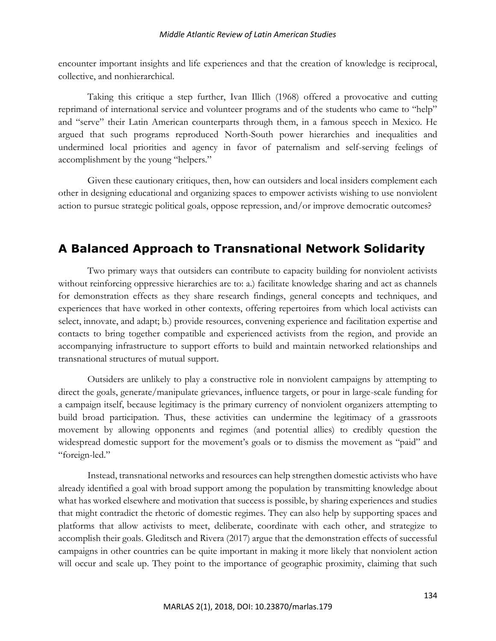encounter important insights and life experiences and that the creation of knowledge is reciprocal, collective, and nonhierarchical.

Taking this critique a step further, Ivan Illich (1968) offered a provocative and cutting reprimand of international service and volunteer programs and of the students who came to "help" and "serve" their Latin American counterparts through them, in a famous speech in Mexico. He argued that such programs reproduced North-South power hierarchies and inequalities and undermined local priorities and agency in favor of paternalism and self-serving feelings of accomplishment by the young "helpers."

Given these cautionary critiques, then, how can outsiders and local insiders complement each other in designing educational and organizing spaces to empower activists wishing to use nonviolent action to pursue strategic political goals, oppose repression, and/or improve democratic outcomes?

# **A Balanced Approach to Transnational Network Solidarity**

Two primary ways that outsiders can contribute to capacity building for nonviolent activists without reinforcing oppressive hierarchies are to: a.) facilitate knowledge sharing and act as channels for demonstration effects as they share research findings, general concepts and techniques, and experiences that have worked in other contexts, offering repertoires from which local activists can select, innovate, and adapt; b.) provide resources, convening experience and facilitation expertise and contacts to bring together compatible and experienced activists from the region, and provide an accompanying infrastructure to support efforts to build and maintain networked relationships and transnational structures of mutual support.

Outsiders are unlikely to play a constructive role in nonviolent campaigns by attempting to direct the goals, generate/manipulate grievances, influence targets, or pour in large-scale funding for a campaign itself, because legitimacy is the primary currency of nonviolent organizers attempting to build broad participation. Thus, these activities can undermine the legitimacy of a grassroots movement by allowing opponents and regimes (and potential allies) to credibly question the widespread domestic support for the movement's goals or to dismiss the movement as "paid" and "foreign-led."

Instead, transnational networks and resources can help strengthen domestic activists who have already identified a goal with broad support among the population by transmitting knowledge about what has worked elsewhere and motivation that success is possible, by sharing experiences and studies that might contradict the rhetoric of domestic regimes. They can also help by supporting spaces and platforms that allow activists to meet, deliberate, coordinate with each other, and strategize to accomplish their goals. Gleditsch and Rivera (2017) argue that the demonstration effects of successful campaigns in other countries can be quite important in making it more likely that nonviolent action will occur and scale up. They point to the importance of geographic proximity, claiming that such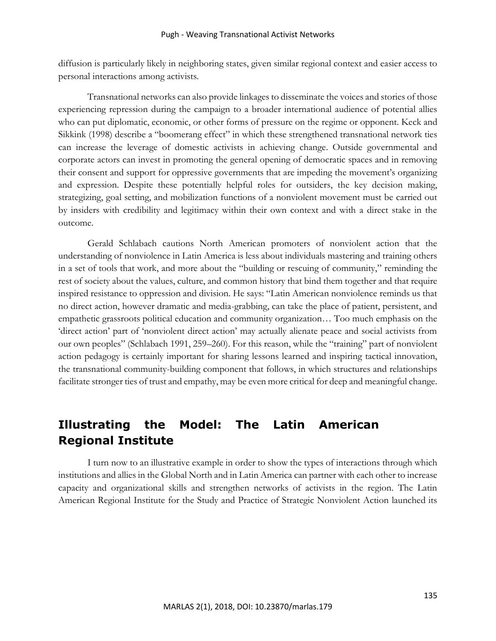diffusion is particularly likely in neighboring states, given similar regional context and easier access to personal interactions among activists.

Transnational networks can also provide linkages to disseminate the voices and stories of those experiencing repression during the campaign to a broader international audience of potential allies who can put diplomatic, economic, or other forms of pressure on the regime or opponent. Keck and Sikkink (1998) describe a "boomerang effect" in which these strengthened transnational network ties can increase the leverage of domestic activists in achieving change. Outside governmental and corporate actors can invest in promoting the general opening of democratic spaces and in removing their consent and support for oppressive governments that are impeding the movement's organizing and expression. Despite these potentially helpful roles for outsiders, the key decision making, strategizing, goal setting, and mobilization functions of a nonviolent movement must be carried out by insiders with credibility and legitimacy within their own context and with a direct stake in the outcome.

Gerald Schlabach cautions North American promoters of nonviolent action that the understanding of nonviolence in Latin America is less about individuals mastering and training others in a set of tools that work, and more about the "building or rescuing of community," reminding the rest of society about the values, culture, and common history that bind them together and that require inspired resistance to oppression and division. He says: "Latin American nonviolence reminds us that no direct action, however dramatic and media-grabbing, can take the place of patient, persistent, and empathetic grassroots political education and community organization… Too much emphasis on the 'direct action' part of 'nonviolent direct action' may actually alienate peace and social activists from our own peoples" (Schlabach 1991, 259–260). For this reason, while the "training" part of nonviolent action pedagogy is certainly important for sharing lessons learned and inspiring tactical innovation, the transnational community-building component that follows, in which structures and relationships facilitate stronger ties of trust and empathy, may be even more critical for deep and meaningful change.

# **Illustrating the Model: The Latin American Regional Institute**

I turn now to an illustrative example in order to show the types of interactions through which institutions and allies in the Global North and in Latin America can partner with each other to increase capacity and organizational skills and strengthen networks of activists in the region. The Latin American Regional Institute for the Study and Practice of Strategic Nonviolent Action launched its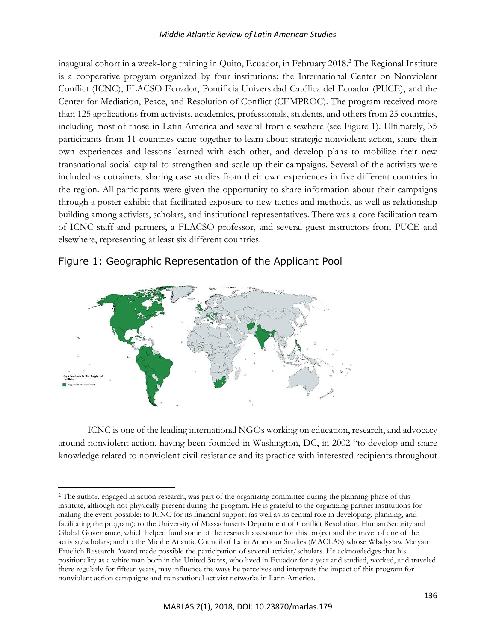#### *Middle Atlantic Review of Latin American Studies*

inaugural cohort in a week-long training in Quito, Ecuador, in February 2018.<sup>2</sup> The Regional Institute is a cooperative program organized by four institutions: the International Center on Nonviolent Conflict (ICNC), FLACSO Ecuador, Pontificia Universidad Católica del Ecuador (PUCE), and the Center for Mediation, Peace, and Resolution of Conflict (CEMPROC). The program received more than 125 applications from activists, academics, professionals, students, and others from 25 countries, including most of those in Latin America and several from elsewhere (see Figure 1). Ultimately, 35 participants from 11 countries came together to learn about strategic nonviolent action, share their own experiences and lessons learned with each other, and develop plans to mobilize their new transnational social capital to strengthen and scale up their campaigns. Several of the activists were included as cotrainers, sharing case studies from their own experiences in five different countries in the region. All participants were given the opportunity to share information about their campaigns through a poster exhibit that facilitated exposure to new tactics and methods, as well as relationship building among activists, scholars, and institutional representatives. There was a core facilitation team of ICNC staff and partners, a FLACSO professor, and several guest instructors from PUCE and elsewhere, representing at least six different countries.



 $\overline{\phantom{a}}$ 

#### Figure 1: Geographic Representation of the Applicant Pool

ICNC is one of the leading international NGOs working on education, research, and advocacy around nonviolent action, having been founded in Washington, DC, in 2002 "to develop and share knowledge related to nonviolent civil resistance and its practice with interested recipients throughout

<sup>&</sup>lt;sup>2</sup> The author, engaged in action research, was part of the organizing committee during the planning phase of this institute, although not physically present during the program. He is grateful to the organizing partner institutions for making the event possible: to ICNC for its financial support (as well as its central role in developing, planning, and facilitating the program); to the University of Massachusetts Department of Conflict Resolution, Human Security and Global Governance, which helped fund some of the research assistance for this project and the travel of one of the activist/scholars; and to the Middle Atlantic Council of Latin American Studies (MACLAS) whose Władysław Maryan Froelich Research Award made possible the participation of several activist/scholars. He acknowledges that his positionality as a white man born in the United States, who lived in Ecuador for a year and studied, worked, and traveled there regularly for fifteen years, may influence the ways he perceives and interprets the impact of this program for nonviolent action campaigns and transnational activist networks in Latin America.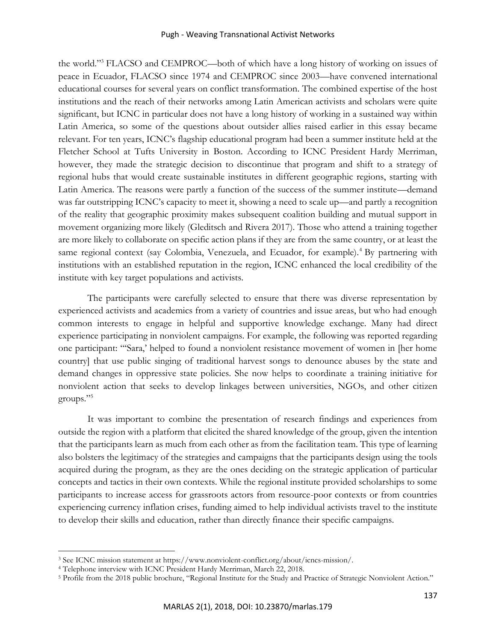#### Pugh - Weaving Transnational Activist Networks

the world."<sup>3</sup> FLACSO and CEMPROC—both of which have a long history of working on issues of peace in Ecuador, FLACSO since 1974 and CEMPROC since 2003—have convened international educational courses for several years on conflict transformation. The combined expertise of the host institutions and the reach of their networks among Latin American activists and scholars were quite significant, but ICNC in particular does not have a long history of working in a sustained way within Latin America, so some of the questions about outsider allies raised earlier in this essay became relevant. For ten years, ICNC's flagship educational program had been a summer institute held at the Fletcher School at Tufts University in Boston. According to ICNC President Hardy Merriman, however, they made the strategic decision to discontinue that program and shift to a strategy of regional hubs that would create sustainable institutes in different geographic regions, starting with Latin America. The reasons were partly a function of the success of the summer institute—demand was far outstripping ICNC's capacity to meet it, showing a need to scale up—and partly a recognition of the reality that geographic proximity makes subsequent coalition building and mutual support in movement organizing more likely (Gleditsch and Rivera 2017). Those who attend a training together are more likely to collaborate on specific action plans if they are from the same country, or at least the same regional context (say Colombia, Venezuela, and Ecuador, for example).<sup>4</sup> By partnering with institutions with an established reputation in the region, ICNC enhanced the local credibility of the institute with key target populations and activists.

The participants were carefully selected to ensure that there was diverse representation by experienced activists and academics from a variety of countries and issue areas, but who had enough common interests to engage in helpful and supportive knowledge exchange. Many had direct experience participating in nonviolent campaigns. For example, the following was reported regarding one participant: "'Sara,' helped to found a nonviolent resistance movement of women in [her home country] that use public singing of traditional harvest songs to denounce abuses by the state and demand changes in oppressive state policies. She now helps to coordinate a training initiative for nonviolent action that seeks to develop linkages between universities, NGOs, and other citizen groups."<sup>5</sup>

It was important to combine the presentation of research findings and experiences from outside the region with a platform that elicited the shared knowledge of the group, given the intention that the participants learn as much from each other as from the facilitation team. This type of learning also bolsters the legitimacy of the strategies and campaigns that the participants design using the tools acquired during the program, as they are the ones deciding on the strategic application of particular concepts and tactics in their own contexts. While the regional institute provided scholarships to some participants to increase access for grassroots actors from resource-poor contexts or from countries experiencing currency inflation crises, funding aimed to help individual activists travel to the institute to develop their skills and education, rather than directly finance their specific campaigns.

<sup>3</sup> See ICNC mission statement at https://www.nonviolent-conflict.org/about/icncs-mission/.

<sup>4</sup> Telephone interview with ICNC President Hardy Merriman, March 22, 2018.

<sup>5</sup> Profile from the 2018 public brochure, "Regional Institute for the Study and Practice of Strategic Nonviolent Action."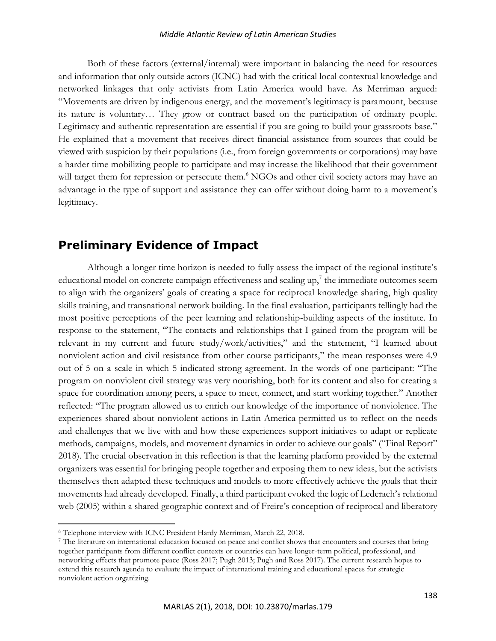#### *Middle Atlantic Review of Latin American Studies*

Both of these factors (external/internal) were important in balancing the need for resources and information that only outside actors (ICNC) had with the critical local contextual knowledge and networked linkages that only activists from Latin America would have. As Merriman argued: "Movements are driven by indigenous energy, and the movement's legitimacy is paramount, because its nature is voluntary… They grow or contract based on the participation of ordinary people. Legitimacy and authentic representation are essential if you are going to build your grassroots base." He explained that a movement that receives direct financial assistance from sources that could be viewed with suspicion by their populations (i.e., from foreign governments or corporations) may have a harder time mobilizing people to participate and may increase the likelihood that their government will target them for repression or persecute them.<sup>6</sup> NGOs and other civil society actors may have an advantage in the type of support and assistance they can offer without doing harm to a movement's legitimacy.

### **Preliminary Evidence of Impact**

Although a longer time horizon is needed to fully assess the impact of the regional institute's educational model on concrete campaign effectiveness and scaling up,<sup>7</sup> the immediate outcomes seem to align with the organizers' goals of creating a space for reciprocal knowledge sharing, high quality skills training, and transnational network building. In the final evaluation, participants tellingly had the most positive perceptions of the peer learning and relationship-building aspects of the institute. In response to the statement, "The contacts and relationships that I gained from the program will be relevant in my current and future study/work/activities," and the statement, "I learned about nonviolent action and civil resistance from other course participants," the mean responses were 4.9 out of 5 on a scale in which 5 indicated strong agreement. In the words of one participant: "The program on nonviolent civil strategy was very nourishing, both for its content and also for creating a space for coordination among peers, a space to meet, connect, and start working together." Another reflected: "The program allowed us to enrich our knowledge of the importance of nonviolence. The experiences shared about nonviolent actions in Latin America permitted us to reflect on the needs and challenges that we live with and how these experiences support initiatives to adapt or replicate methods, campaigns, models, and movement dynamics in order to achieve our goals" ("Final Report" 2018). The crucial observation in this reflection is that the learning platform provided by the external organizers was essential for bringing people together and exposing them to new ideas, but the activists themselves then adapted these techniques and models to more effectively achieve the goals that their movements had already developed. Finally, a third participant evoked the logic of Lederach's relational web (2005) within a shared geographic context and of Freire's conception of reciprocal and liberatory

<sup>6</sup> Telephone interview with ICNC President Hardy Merriman, March 22, 2018.

<sup>7</sup> The literature on international education focused on peace and conflict shows that encounters and courses that bring together participants from different conflict contexts or countries can have longer-term political, professional, and networking effects that promote peace (Ross 2017; Pugh 2013; Pugh and Ross 2017). The current research hopes to extend this research agenda to evaluate the impact of international training and educational spaces for strategic nonviolent action organizing.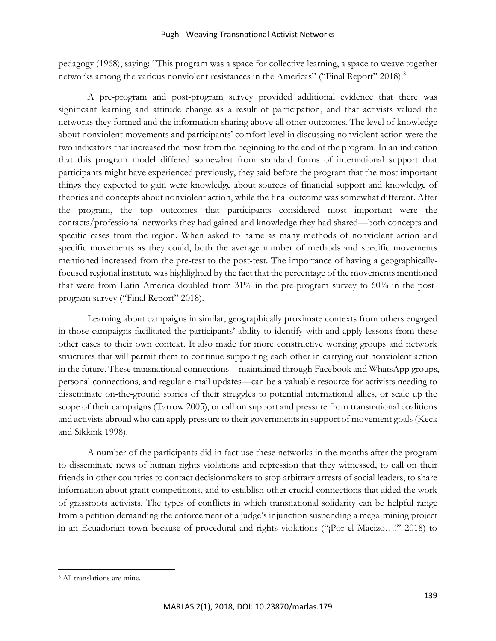#### Pugh - Weaving Transnational Activist Networks

pedagogy (1968), saying: "This program was a space for collective learning, a space to weave together networks among the various nonviolent resistances in the Americas" ("Final Report" 2018).<sup>8</sup>

A pre-program and post-program survey provided additional evidence that there was significant learning and attitude change as a result of participation, and that activists valued the networks they formed and the information sharing above all other outcomes. The level of knowledge about nonviolent movements and participants' comfort level in discussing nonviolent action were the two indicators that increased the most from the beginning to the end of the program. In an indication that this program model differed somewhat from standard forms of international support that participants might have experienced previously, they said before the program that the most important things they expected to gain were knowledge about sources of financial support and knowledge of theories and concepts about nonviolent action, while the final outcome was somewhat different. After the program, the top outcomes that participants considered most important were the contacts/professional networks they had gained and knowledge they had shared—both concepts and specific cases from the region. When asked to name as many methods of nonviolent action and specific movements as they could, both the average number of methods and specific movements mentioned increased from the pre-test to the post-test. The importance of having a geographicallyfocused regional institute was highlighted by the fact that the percentage of the movements mentioned that were from Latin America doubled from 31% in the pre-program survey to 60% in the postprogram survey ("Final Report" 2018).

Learning about campaigns in similar, geographically proximate contexts from others engaged in those campaigns facilitated the participants' ability to identify with and apply lessons from these other cases to their own context. It also made for more constructive working groups and network structures that will permit them to continue supporting each other in carrying out nonviolent action in the future. These transnational connections—maintained through Facebook and WhatsApp groups, personal connections, and regular e-mail updates—can be a valuable resource for activists needing to disseminate on-the-ground stories of their struggles to potential international allies, or scale up the scope of their campaigns (Tarrow 2005), or call on support and pressure from transnational coalitions and activists abroad who can apply pressure to their governments in support of movement goals (Keck and Sikkink 1998).

A number of the participants did in fact use these networks in the months after the program to disseminate news of human rights violations and repression that they witnessed, to call on their friends in other countries to contact decisionmakers to stop arbitrary arrests of social leaders, to share information about grant competitions, and to establish other crucial connections that aided the work of grassroots activists. The types of conflicts in which transnational solidarity can be helpful range from a petition demanding the enforcement of a judge's injunction suspending a mega-mining project in an Ecuadorian town because of procedural and rights violations ("¡Por el Macizo…!" 2018) to

<sup>8</sup> All translations are mine.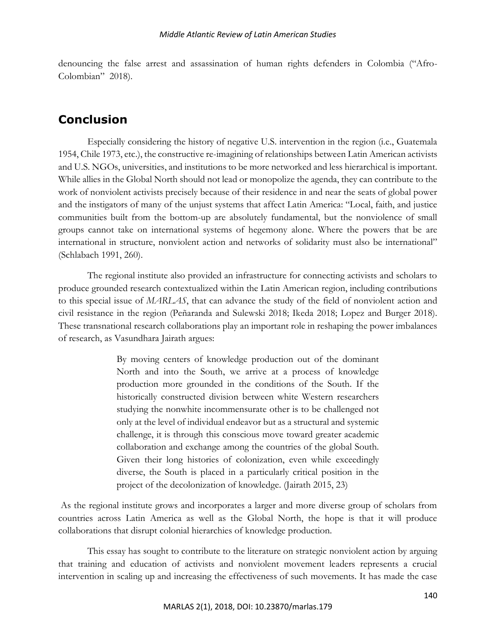denouncing the false arrest and assassination of human rights defenders in Colombia ("Afro-Colombian" 2018).

## **Conclusion**

Especially considering the history of negative U.S. intervention in the region (i.e., Guatemala 1954, Chile 1973, etc.), the constructive re-imagining of relationships between Latin American activists and U.S. NGOs, universities, and institutions to be more networked and less hierarchical is important. While allies in the Global North should not lead or monopolize the agenda, they can contribute to the work of nonviolent activists precisely because of their residence in and near the seats of global power and the instigators of many of the unjust systems that affect Latin America: "Local, faith, and justice communities built from the bottom-up are absolutely fundamental, but the nonviolence of small groups cannot take on international systems of hegemony alone. Where the powers that be are international in structure, nonviolent action and networks of solidarity must also be international" (Schlabach 1991, 260).

The regional institute also provided an infrastructure for connecting activists and scholars to produce grounded research contextualized within the Latin American region, including contributions to this special issue of *MARLAS*, that can advance the study of the field of nonviolent action and civil resistance in the region (Peñaranda and Sulewski 2018; Ikeda 2018; Lopez and Burger 2018). These transnational research collaborations play an important role in reshaping the power imbalances of research, as Vasundhara Jairath argues:

> By moving centers of knowledge production out of the dominant North and into the South, we arrive at a process of knowledge production more grounded in the conditions of the South. If the historically constructed division between white Western researchers studying the nonwhite incommensurate other is to be challenged not only at the level of individual endeavor but as a structural and systemic challenge, it is through this conscious move toward greater academic collaboration and exchange among the countries of the global South. Given their long histories of colonization, even while exceedingly diverse, the South is placed in a particularly critical position in the project of the decolonization of knowledge. (Jairath 2015, 23)

As the regional institute grows and incorporates a larger and more diverse group of scholars from countries across Latin America as well as the Global North, the hope is that it will produce collaborations that disrupt colonial hierarchies of knowledge production.

This essay has sought to contribute to the literature on strategic nonviolent action by arguing that training and education of activists and nonviolent movement leaders represents a crucial intervention in scaling up and increasing the effectiveness of such movements. It has made the case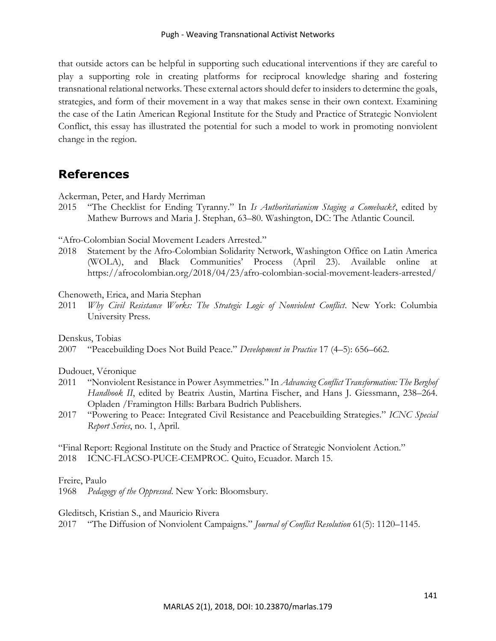that outside actors can be helpful in supporting such educational interventions if they are careful to play a supporting role in creating platforms for reciprocal knowledge sharing and fostering transnational relational networks. These external actors should defer to insiders to determine the goals, strategies, and form of their movement in a way that makes sense in their own context. Examining the case of the Latin American Regional Institute for the Study and Practice of Strategic Nonviolent Conflict, this essay has illustrated the potential for such a model to work in promoting nonviolent change in the region.

# **References**

Ackerman, Peter, and Hardy Merriman

2015 "The Checklist for Ending Tyranny." In *Is Authoritarianism Staging a Comeback?*, edited by Mathew Burrows and Maria J. Stephan, 63–80. Washington, DC: The Atlantic Council.

"Afro-Colombian Social Movement Leaders Arrested."

2018 Statement by the Afro-Colombian Solidarity Network, Washington Office on Latin America (WOLA), and Black Communities' Process (April 23). Available online at https://afrocolombian.org/2018/04/23/afro-colombian-social-movement-leaders-arrested/

Chenoweth, Erica, and Maria Stephan

2011 *Why Civil Resistance Works: The Strategic Logic of Nonviolent Conflict*. New York: Columbia University Press.

Denskus, Tobias

2007 "Peacebuilding Does Not Build Peace." *Development in Practice* 17 (4–5): 656–662.

Dudouet, Véronique

- 2011 "Nonviolent Resistance in Power Asymmetries." In *Advancing Conflict Transformation: The Berghof Handbook II*, edited by Beatrix Austin, Martina Fischer, and Hans J. Giessmann, 238–264. Opladen /Framington Hills: Barbara Budrich Publishers.
- 2017 "Powering to Peace: Integrated Civil Resistance and Peacebuilding Strategies." *ICNC Special Report Series*, no. 1, April.

"Final Report: Regional Institute on the Study and Practice of Strategic Nonviolent Action." 2018 ICNC-FLACSO-PUCE-CEMPROC. Quito, Ecuador. March 15.

Freire, Paulo

1968 *Pedagogy of the Oppressed*. New York: Bloomsbury.

Gleditsch, Kristian S., and Mauricio Rivera

2017 "The Diffusion of Nonviolent Campaigns." *Journal of Conflict Resolution* 61(5): 1120–1145.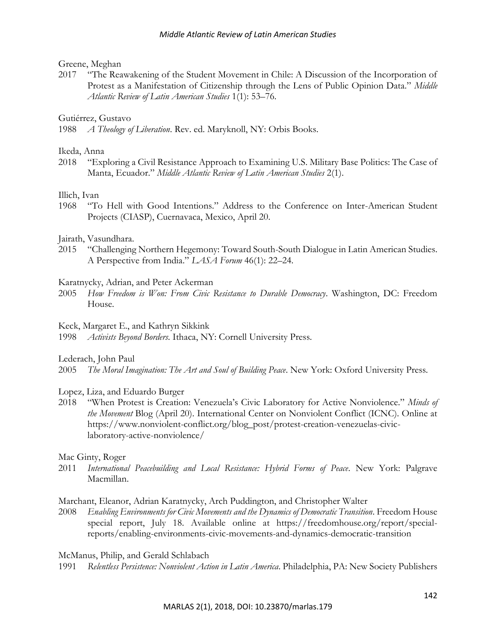#### Greene, Meghan

2017 "The Reawakening of the Student Movement in Chile: A Discussion of the Incorporation of Protest as a Manifestation of Citizenship through the Lens of Public Opinion Data." *Middle Atlantic Review of Latin American Studies* 1(1): 53–76.

#### Gutiérrez, Gustavo

1988 *A Theology of Liberation*. Rev. ed. Maryknoll, NY: Orbis Books.

#### Ikeda, Anna

2018 "Exploring a Civil Resistance Approach to Examining U.S. Military Base Politics: The Case of Manta, Ecuador." *Middle Atlantic Review of Latin American Studies* 2(1).

#### Illich, Ivan

1968 "To Hell with Good Intentions." Address to the Conference on Inter-American Student Projects (CIASP), Cuernavaca, Mexico, April 20.

#### Jairath, Vasundhara.

2015 "Challenging Northern Hegemony: Toward South-South Dialogue in Latin American Studies. A Perspective from India." *LASA Forum* 46(1): 22–24.

#### Karatnycky, Adrian, and Peter Ackerman

2005 *How Freedom is Won: From Civic Resistance to Durable Democracy*. Washington, DC: Freedom House.

#### Keck, Margaret E., and Kathryn Sikkink

1998 *Activists Beyond Borders*. Ithaca, NY: Cornell University Press.

#### Lederach, John Paul

2005 *The Moral Imagination: The Art and Soul of Building Peace*. New York: Oxford University Press.

#### Lopez, Liza, and Eduardo Burger

2018 "When Protest is Creation: Venezuela's Civic Laboratory for Active Nonviolence." *Minds of the Movement* Blog (April 20). International Center on Nonviolent Conflict (ICNC). Online at https://www.nonviolent-conflict.org/blog\_post/protest-creation-venezuelas-civiclaboratory-active-nonviolence/

#### Mac Ginty, Roger

2011 *International Peacebuilding and Local Resistance: Hybrid Forms of Peace*. New York: Palgrave Macmillan.

Marchant, Eleanor, Adrian Karatnycky, Arch Puddington, and Christopher Walter

2008 *Enabling Environments for Civic Movements and the Dynamics of Democratic Transition*. Freedom House special report, July 18. Available online at https://freedomhouse.org/report/specialreports/enabling-environments-civic-movements-and-dynamics-democratic-transition

McManus, Philip, and Gerald Schlabach

1991 *Relentless Persistence: Nonviolent Action in Latin America*. Philadelphia, PA: New Society Publishers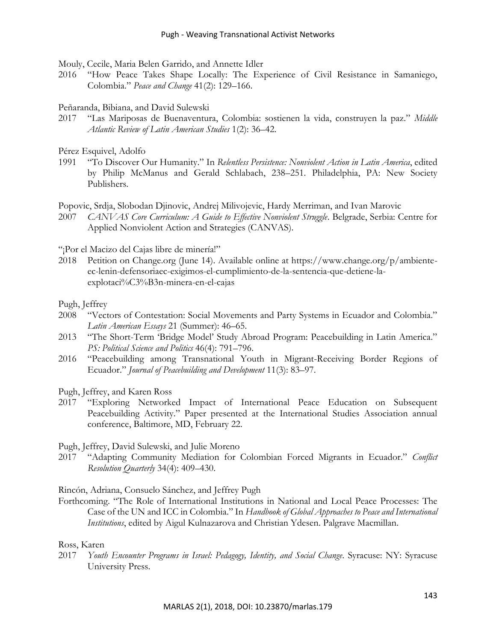Mouly, Cecile, Maria Belen Garrido, and Annette Idler

2016 "How Peace Takes Shape Locally: The Experience of Civil Resistance in Samaniego, Colombia." *Peace and Change* 41(2): 129–166.

#### Peñaranda, Bibiana, and David Sulewski

2017 "Las Mariposas de Buenaventura, Colombia: sostienen la vida, construyen la paz." *Middle Atlantic Review of Latin American Studies* 1(2): 36–42.

Pérez Esquivel, Adolfo

1991 "To Discover Our Humanity." In *Relentless Persistence: Nonviolent Action in Latin America*, edited by Philip McManus and Gerald Schlabach, 238–251. Philadelphia, PA: New Society Publishers.

Popovic, Srdja, Slobodan Djinovic, Andrej Milivojevic, Hardy Merriman, and Ivan Marovic

2007 *CANVAS Core Curriculum: A Guide to Effective Nonviolent Struggle*. Belgrade, Serbia: Centre for Applied Nonviolent Action and Strategies (CANVAS).

"¡Por el Macizo del Cajas libre de minería!"

2018 Petition on Change.org (June 14). Available online at https://www.change.org/p/ambienteec-lenin-defensoriaec-exigimos-el-cumplimiento-de-la-sentencia-que-detiene-laexplotaci%C3%B3n-minera-en-el-cajas

Pugh, Jeffrey

- 2008 "Vectors of Contestation: Social Movements and Party Systems in Ecuador and Colombia." *Latin American Essays* 21 (Summer): 46–65.
- 2013 "The Short-Term 'Bridge Model' Study Abroad Program: Peacebuilding in Latin America." *PS: Political Science and Politics* 46(4): 791–796.
- 2016 "Peacebuilding among Transnational Youth in Migrant-Receiving Border Regions of Ecuador." *Journal of Peacebuilding and Development* 11(3): 83–97.

Pugh, Jeffrey, and Karen Ross

2017 "Exploring Networked Impact of International Peace Education on Subsequent Peacebuilding Activity." Paper presented at the International Studies Association annual conference, Baltimore, MD, February 22.

Pugh, Jeffrey, David Sulewski, and Julie Moreno

2017 "Adapting Community Mediation for Colombian Forced Migrants in Ecuador." *Conflict Resolution Quarterly* 34(4): 409–430.

Rincón, Adriana, Consuelo Sánchez, and Jeffrey Pugh

Forthcoming. "The Role of International Institutions in National and Local Peace Processes: The Case of the UN and ICC in Colombia." In *Handbook of Global Approaches to Peace and International Institutions*, edited by Aigul Kulnazarova and Christian Ydesen. Palgrave Macmillan.

#### Ross, Karen

2017 *Youth Encounter Programs in Israel: Pedagogy, Identity, and Social Change*. Syracuse: NY: Syracuse University Press.